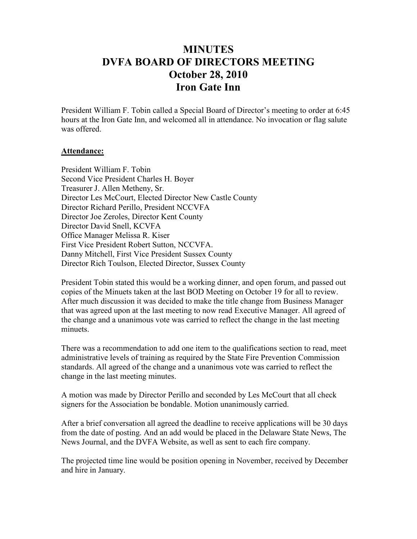## **MINUTES DVFA BOARD OF DIRECTORS MEETING October 28, 2010 Iron Gate Inn**

President William F. Tobin called a Special Board of Director's meeting to order at 6:45 hours at the Iron Gate Inn, and welcomed all in attendance. No invocation or flag salute was offered.

## **Attendance:**

President William F. Tobin Second Vice President Charles H. Boyer Treasurer J. Allen Metheny, Sr. Director Les McCourt, Elected Director New Castle County Director Richard Perillo, President NCCVFA Director Joe Zeroles, Director Kent County Director David Snell, KCVFA Office Manager Melissa R. Kiser First Vice President Robert Sutton, NCCVFA. Danny Mitchell, First Vice President Sussex County Director Rich Toulson, Elected Director, Sussex County

President Tobin stated this would be a working dinner, and open forum, and passed out copies of the Minuets taken at the last BOD Meeting on October 19 for all to review. After much discussion it was decided to make the title change from Business Manager that was agreed upon at the last meeting to now read Executive Manager. All agreed of the change and a unanimous vote was carried to reflect the change in the last meeting minuets.

There was a recommendation to add one item to the qualifications section to read, meet administrative levels of training as required by the State Fire Prevention Commission standards. All agreed of the change and a unanimous vote was carried to reflect the change in the last meeting minutes.

A motion was made by Director Perillo and seconded by Les McCourt that all check signers for the Association be bondable. Motion unanimously carried.

After a brief conversation all agreed the deadline to receive applications will be 30 days from the date of posting. And an add would be placed in the Delaware State News, The News Journal, and the DVFA Website, as well as sent to each fire company.

The projected time line would be position opening in November, received by December and hire in January.